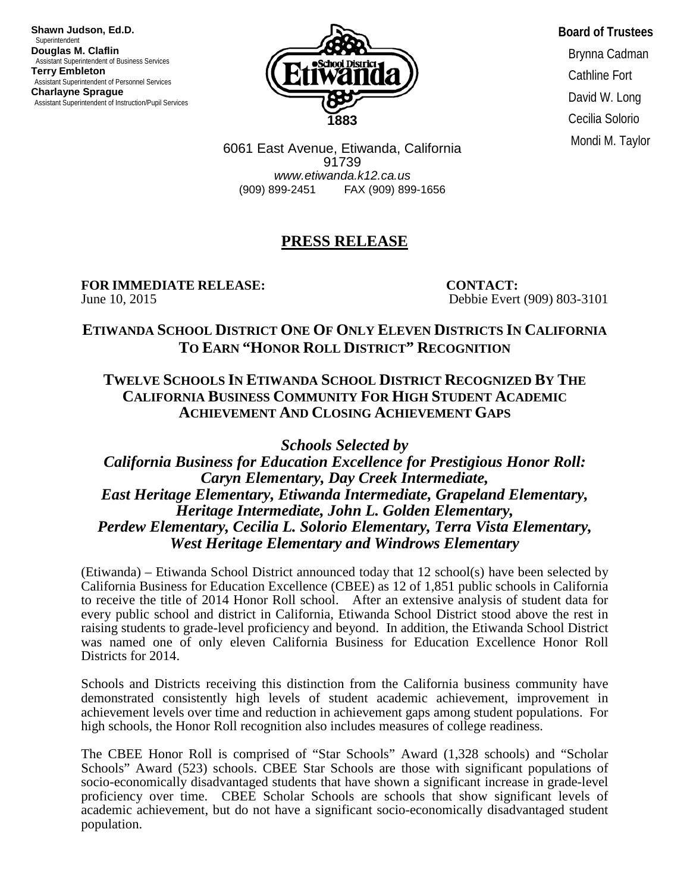**Shawn Judson, Ed.D.** Superintendent<br>Douglas M. Claflin **Assistant Superintendent of Business Services Terry Embleton** Assistant Superintendent of Personnel Services **Charlayne Sprague** Assistant Superintendent of Instruction/Pupil Services



**Board of Trustees** Brynna Cadman Cathline Fort David W. Long Cecilia Solorio Mondi M. Taylor

6061 East Avenue, Etiwanda, California 91739 *www.etiwanda.k12.ca.us* (909) 899-2451 FAX (909) 899-1656

## **PRESS RELEASE**

## **FOR IMMEDIATE RELEASE:**<br>
June 10, 2015<br> **CONTACT:**<br>
Debbie Evert

Debbie Evert (909) 803-3101

## **ETIWANDA SCHOOL DISTRICT ONE OF ONLY ELEVEN DISTRICTS IN CALIFORNIA TO EARN "HONOR ROLL DISTRICT" RECOGNITION**

## **TWELVE SCHOOLS IN ETIWANDA SCHOOL DISTRICT RECOGNIZED BY THE CALIFORNIA BUSINESS COMMUNITY FOR HIGH STUDENT ACADEMIC ACHIEVEMENT AND CLOSING ACHIEVEMENT GAPS**

*Schools Selected by* 

*California Business for Education Excellence for Prestigious Honor Roll: Caryn Elementary, Day Creek Intermediate, East Heritage Elementary, Etiwanda Intermediate, Grapeland Elementary, Heritage Intermediate, John L. Golden Elementary, Perdew Elementary, Cecilia L. Solorio Elementary, Terra Vista Elementary, West Heritage Elementary and Windrows Elementary* 

(Etiwanda) – Etiwanda School District announced today that 12 school(s) have been selected by California Business for Education Excellence (CBEE) as 12 of 1,851 public schools in California to receive the title of 2014 Honor Roll school. After an extensive analysis of student data for every public school and district in California, Etiwanda School District stood above the rest in raising students to grade-level proficiency and beyond. In addition, the Etiwanda School District was named one of only eleven California Business for Education Excellence Honor Roll Districts for 2014.

Schools and Districts receiving this distinction from the California business community have demonstrated consistently high levels of student academic achievement, improvement in achievement levels over time and reduction in achievement gaps among student populations. For high schools, the Honor Roll recognition also includes measures of college readiness.

The CBEE Honor Roll is comprised of "Star Schools" Award (1,328 schools) and "Scholar Schools" Award (523) schools. CBEE Star Schools are those with significant populations of socio-economically disadvantaged students that have shown a significant increase in grade-level proficiency over time. CBEE Scholar Schools are schools that show significant levels of academic achievement, but do not have a significant socio-economically disadvantaged student population.